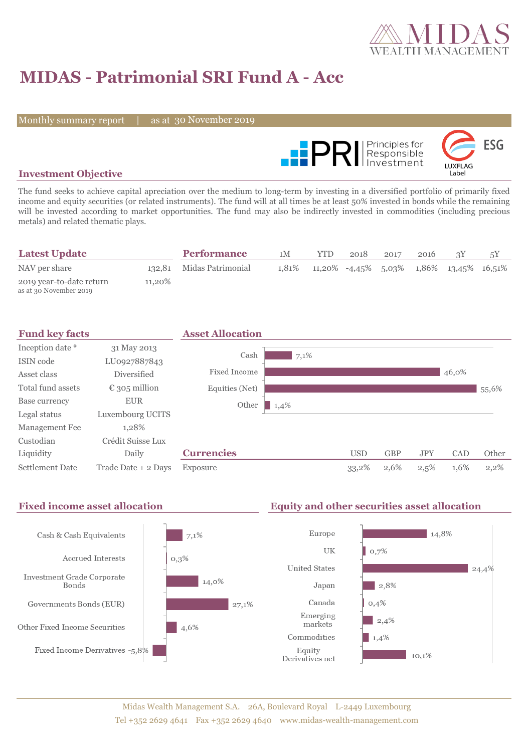

# **MIDAS - Patrimonial SRI Fund A - Acc**

Monthly summary report

as at 30 November 2019



### **Investment Objective**

The fund seeks to achieve capital apreciation over the medium to long-term by investing in a diversified portfolio of primarily fixed income and equity securities (or related instruments). The fund will at all times be at least 50% invested in bonds while the remaining will be invested according to market opportunities. The fund may also be indirectly invested in commodities (including precious metals) and related thematic plays.

| <b>Latest Update</b>                               |        | <b>Performance</b>       | 1M    | YTD. | 2018 | 2017 | 2016 |                                            |  |
|----------------------------------------------------|--------|--------------------------|-------|------|------|------|------|--------------------------------------------|--|
| NAV per share                                      |        | 132,81 Midas Patrimonial | 1.81% |      |      |      |      | $11,20\%$ -4,45% 5,03% 1,86% 13,45% 16,51% |  |
| 2019 year-to-date return<br>as at 30 November 2019 | 11,20% |                          |       |      |      |      |      |                                            |  |



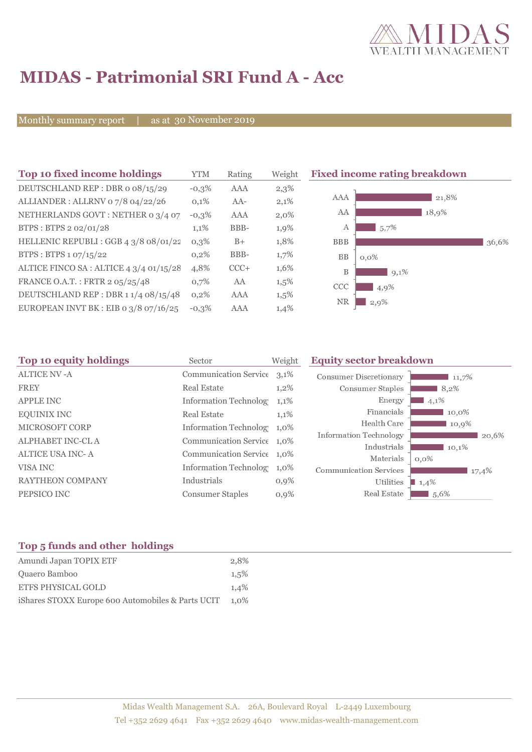

# **MIDAS - Patrimonial SRI Fund A - Acc**

Monthly summary report

as at 30 November 2019

| Top 10 fixed income holdings            | <b>YTM</b> | Rating | Weigh   |
|-----------------------------------------|------------|--------|---------|
| DEUTSCHLAND REP: DBR o 08/15/29         | $-0.3\%$   | AAA    | 2,3%    |
| ALLIANDER: ALLRNV 07/8 04/22/26         | 0,1%       | $AA-$  | 2,1%    |
| NETHERLANDS GOVT: NETHER 0 3/4 07       | $-0,3%$    | AAA    | $2,0\%$ |
| BTPS: BTPS 2 02/01/28                   | 1,1%       | BBB-   | 1,9%    |
| HELLENIC REPUBLI : GGB 4 3/8 08/01/22   | $0.3\%$    | $B+$   | 1,8%    |
| BTPS: BTPS 1 07/15/22                   | 0,2%       | BBB-   | 1,7%    |
| ALTICE FINCO SA : ALTICE 4 3/4 01/15/28 | 4,8%       | $CCC+$ | 1,6%    |
| FRANCE O.A.T.: FRTR 2 05/25/48          | 0.7%       | AA     | 1,5%    |
| DEUTSCHLAND REP : DBR 1 1/4 08/15/48    | 0,2%       | AAA    | 1,5%    |
| EUROPEAN INVT BK : EIB o $3/8$ 07/16/25 | $-0.3%$    | AAA    | 1,4%    |



| Top 10 equity holdings  | Sector                       | Weight  | <b>Equity sector breakdown</b> |                  |  |
|-------------------------|------------------------------|---------|--------------------------------|------------------|--|
| <b>ALTICE NV-A</b>      | Communication Service 3,1%   |         | <b>Consumer Discretionary</b>  | 11,7%            |  |
| <b>FREY</b>             | <b>Real Estate</b>           | $1,2\%$ | Consumer Staples               | 8,2%             |  |
| <b>APPLE INC</b>        | <b>Information Technolog</b> | $1,1\%$ | Energy                         | 4,1%             |  |
| <b>EQUINIX INC</b>      | <b>Real Estate</b>           | 1,1%    | Financials                     | 10,0%            |  |
| MICROSOFT CORP          | Information Technolog 1,0%   |         | Health Care                    | 10,9%            |  |
| <b>ALPHABET INC-CLA</b> | Communication Service 1,0%   |         | Information Technology         | 20,6%            |  |
| <b>ALTICE USA INC-A</b> | Communication Service 1,0%   |         | Industrials<br>Materials       | 10,1%            |  |
| VISA INC                | <b>Information Technolog</b> | $1,0\%$ | <b>Communication Services</b>  | $0,0\%$<br>17,4% |  |
| RAYTHEON COMPANY        | Industrials                  | $0,9\%$ | Utilities                      | 1,4%             |  |
| PEPSICO INC             | <b>Consumer Staples</b>      | $0,9\%$ | Real Estate                    | 1,5,6%           |  |
|                         |                              |         |                                |                  |  |

### **Top 5 funds and other holdings**

| Amundi Japan TOPIX ETF                            | 2.8%    |
|---------------------------------------------------|---------|
| Quaero Bamboo                                     | 1.5%    |
| <b>ETFS PHYSICAL GOLD</b>                         | 1.4%    |
| iShares STOXX Europe 600 Automobiles & Parts UCIT | $1.0\%$ |